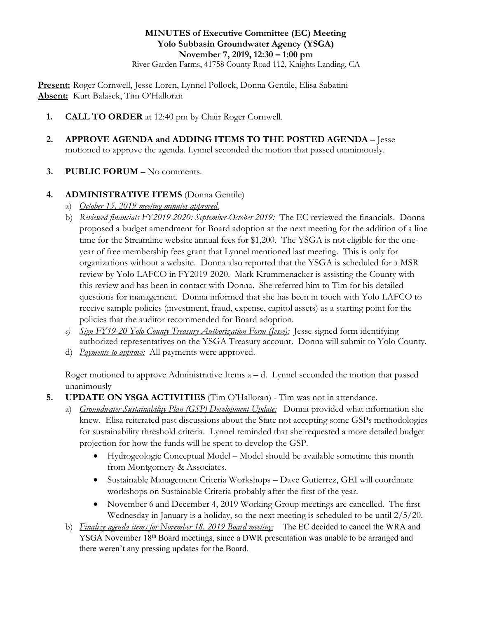## **MINUTES of Executive Committee (EC) Meeting Yolo Subbasin Groundwater Agency (YSGA) November 7, 2019, 12:30 – 1:00 pm**

River Garden Farms, 41758 County Road 112, Knights Landing, CA

**Present:** Roger Cornwell, Jesse Loren, Lynnel Pollock, Donna Gentile, Elisa Sabatini **Absent:** Kurt Balasek, Tim O'Halloran

- **1. CALL TO ORDER** at 12:40 pm by Chair Roger Cornwell.
- **2. APPROVE AGENDA and ADDING ITEMS TO THE POSTED AGENDA** Jesse motioned to approve the agenda. Lynnel seconded the motion that passed unanimously.
- **3. PUBLIC FORUM** No comments.

## **4. ADMINISTRATIVE ITEMS** (Donna Gentile)

- a) *October 15, 2019 meeting minutes approved.*
- b) *Reviewed financials FY2019-2020: September-October 2019:* The EC reviewed the financials. Donna proposed a budget amendment for Board adoption at the next meeting for the addition of a line time for the Streamline website annual fees for \$1,200. The YSGA is not eligible for the oneyear of free membership fees grant that Lynnel mentioned last meeting. This is only for organizations without a website. Donna also reported that the YSGA is scheduled for a MSR review by Yolo LAFCO in FY2019-2020. Mark Krummenacker is assisting the County with this review and has been in contact with Donna. She referred him to Tim for his detailed questions for management. Donna informed that she has been in touch with Yolo LAFCO to receive sample policies (investment, fraud, expense, capitol assets) as a starting point for the policies that the auditor recommended for Board adoption.
- *c) Sign FY19-20 Yolo County Treasury Authorization Form (Jesse):* Jesse signed form identifying authorized representatives on the YSGA Treasury account. Donna will submit to Yolo County.
- d) *Payments to approve:* All payments were approved.

Roger motioned to approve Administrative Items  $a - d$ . Lynnel seconded the motion that passed unanimously

- **5. UPDATE ON YSGA ACTIVITIES** (Tim O'Halloran) Tim was not in attendance.
	- a) *Groundwater Sustainability Plan (GSP) Development Update:* Donna provided what information she knew. Elisa reiterated past discussions about the State not accepting some GSPs methodologies for sustainability threshold criteria. Lynnel reminded that she requested a more detailed budget projection for how the funds will be spent to develop the GSP.
		- Hydrogeologic Conceptual Model Model should be available sometime this month from Montgomery & Associates.
		- Sustainable Management Criteria Workshops Dave Gutierrez, GEI will coordinate workshops on Sustainable Criteria probably after the first of the year.
		- November 6 and December 4, 2019 Working Group meetings are cancelled. The first Wednesday in January is a holiday, so the next meeting is scheduled to be until 2/5/20.
	- b) *Finalize agenda items for November 18, 2019 Board meeting:* The EC decided to cancel the WRA and YSGA November 18<sup>th</sup> Board meetings, since a DWR presentation was unable to be arranged and there weren't any pressing updates for the Board.